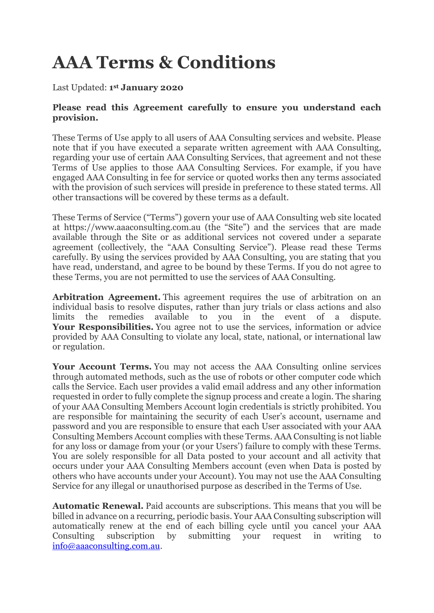# **AAA Terms & Conditions**

### Last Updated: **1 st January 2020**

#### **Please read this Agreement carefully to ensure you understand each provision.**

These Terms of Use apply to all users of AAA Consulting services and website. Please note that if you have executed a separate written agreement with AAA Consulting, regarding your use of certain AAA Consulting Services, that agreement and not these Terms of Use applies to those AAA Consulting Services. For example, if you have engaged AAA Consulting in fee for service or quoted works then any terms associated with the provision of such services will preside in preference to these stated terms. All other transactions will be covered by these terms as a default.

These Terms of Service ("Terms") govern your use of AAA Consulting web site located at https://www.aaaconsulting.com.au (the "Site") and the services that are made available through the Site or as additional services not covered under a separate agreement (collectively, the "AAA Consulting Service"). Please read these Terms carefully. By using the services provided by AAA Consulting, you are stating that you have read, understand, and agree to be bound by these Terms. If you do not agree to these Terms, you are not permitted to use the services of AAA Consulting.

**Arbitration Agreement.** This agreement requires the use of arbitration on an individual basis to resolve disputes, rather than jury trials or class actions and also limits the remedies available to you in the event of a dispute. Your Responsibilities. You agree not to use the services, information or advice provided by AAA Consulting to violate any local, state, national, or international law or regulation.

**Your Account Terms.** You may not access the AAA Consulting online services through automated methods, such as the use of robots or other computer code which calls the Service. Each user provides a valid email address and any other information requested in order to fully complete the signup process and create a login. The sharing of your AAA Consulting Members Account login credentials is strictly prohibited. You are responsible for maintaining the security of each User's account, username and password and you are responsible to ensure that each User associated with your AAA Consulting Members Account complies with these Terms. AAA Consulting is not liable for any loss or damage from your (or your Users') failure to comply with these Terms. You are solely responsible for all Data posted to your account and all activity that occurs under your AAA Consulting Members account (even when Data is posted by others who have accounts under your Account). You may not use the AAA Consulting Service for any illegal or unauthorised purpose as described in the Terms of Use.

**Automatic Renewal.** Paid accounts are subscriptions. This means that you will be billed in advance on a recurring, periodic basis. Your AAA Consulting subscription will automatically renew at the end of each billing cycle until you cancel your AAA Consulting subscription by submitting your request in writing to [info@aaaconsulting.com.au.](mailto:info@aaaconsulting.com.au)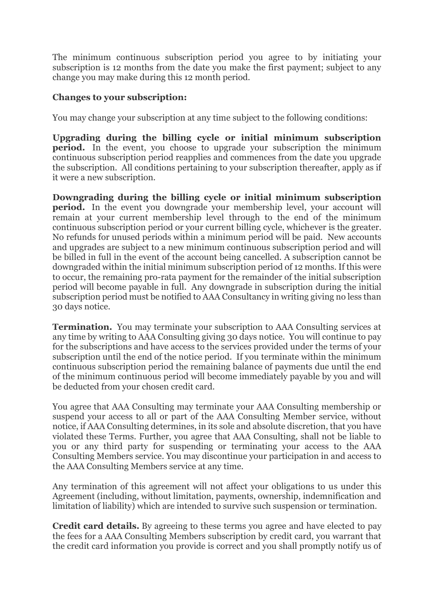The minimum continuous subscription period you agree to by initiating your subscription is 12 months from the date you make the first payment; subject to any change you may make during this 12 month period.

## **Changes to your subscription:**

You may change your subscription at any time subject to the following conditions:

**Upgrading during the billing cycle or initial minimum subscription period.** In the event, you choose to upgrade your subscription the minimum continuous subscription period reapplies and commences from the date you upgrade the subscription. All conditions pertaining to your subscription thereafter, apply as if it were a new subscription.

**Downgrading during the billing cycle or initial minimum subscription period.** In the event you downgrade your membership level, your account will remain at your current membership level through to the end of the minimum continuous subscription period or your current billing cycle, whichever is the greater. No refunds for unused periods within a minimum period will be paid. New accounts and upgrades are subject to a new minimum continuous subscription period and will be billed in full in the event of the account being cancelled. A subscription cannot be downgraded within the initial minimum subscription period of 12 months. If this were to occur, the remaining pro-rata payment for the remainder of the initial subscription period will become payable in full. Any downgrade in subscription during the initial subscription period must be notified to AAA Consultancy in writing giving no less than 30 days notice.

**Termination.** You may terminate your subscription to AAA Consulting services at any time by writing to AAA Consulting giving 30 days notice. You will continue to pay for the subscriptions and have access to the services provided under the terms of your subscription until the end of the notice period. If you terminate within the minimum continuous subscription period the remaining balance of payments due until the end of the minimum continuous period will become immediately payable by you and will be deducted from your chosen credit card.

You agree that AAA Consulting may terminate your AAA Consulting membership or suspend your access to all or part of the AAA Consulting Member service, without notice, if AAA Consulting determines, in its sole and absolute discretion, that you have violated these Terms. Further, you agree that AAA Consulting, shall not be liable to you or any third party for suspending or terminating your access to the AAA Consulting Members service. You may discontinue your participation in and access to the AAA Consulting Members service at any time.

Any termination of this agreement will not affect your obligations to us under this Agreement (including, without limitation, payments, ownership, indemnification and limitation of liability) which are intended to survive such suspension or termination.

**Credit card details.** By agreeing to these terms you agree and have elected to pay the fees for a AAA Consulting Members subscription by credit card, you warrant that the credit card information you provide is correct and you shall promptly notify us of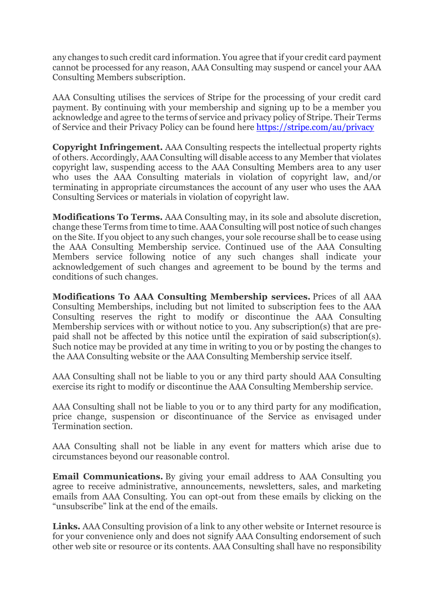any changes to such credit card information. You agree that if your credit card payment cannot be processed for any reason, AAA Consulting may suspend or cancel your AAA Consulting Members subscription.

AAA Consulting utilises the services of Stripe for the processing of your credit card payment. By continuing with your membership and signing up to be a member you acknowledge and agree to the terms of service and privacy policy of Stripe. Their Terms of Service and their Privacy Policy can be found here<https://stripe.com/au/privacy>

**Copyright Infringement.** AAA Consulting respects the intellectual property rights of others. Accordingly, AAA Consulting will disable access to any Member that violates copyright law, suspending access to the AAA Consulting Members area to any user who uses the AAA Consulting materials in violation of copyright law, and/or terminating in appropriate circumstances the account of any user who uses the AAA Consulting Services or materials in violation of copyright law.

**Modifications To Terms.** AAA Consulting may, in its sole and absolute discretion, change these Terms from time to time. AAA Consulting will post notice of such changes on the Site. If you object to any such changes, your sole recourse shall be to cease using the AAA Consulting Membership service. Continued use of the AAA Consulting Members service following notice of any such changes shall indicate your acknowledgement of such changes and agreement to be bound by the terms and conditions of such changes.

**Modifications To AAA Consulting Membership services.** Prices of all AAA Consulting Memberships, including but not limited to subscription fees to the AAA Consulting reserves the right to modify or discontinue the AAA Consulting Membership services with or without notice to you. Any subscription(s) that are prepaid shall not be affected by this notice until the expiration of said subscription(s). Such notice may be provided at any time in writing to you or by posting the changes to the AAA Consulting website or the AAA Consulting Membership service itself.

AAA Consulting shall not be liable to you or any third party should AAA Consulting exercise its right to modify or discontinue the AAA Consulting Membership service.

AAA Consulting shall not be liable to you or to any third party for any modification, price change, suspension or discontinuance of the Service as envisaged under Termination section.

AAA Consulting shall not be liable in any event for matters which arise due to circumstances beyond our reasonable control.

**Email Communications.** By giving your email address to AAA Consulting you agree to receive administrative, announcements, newsletters, sales, and marketing emails from AAA Consulting. You can opt-out from these emails by clicking on the "unsubscribe" link at the end of the emails.

**Links.** AAA Consulting provision of a link to any other website or Internet resource is for your convenience only and does not signify AAA Consulting endorsement of such other web site or resource or its contents. AAA Consulting shall have no responsibility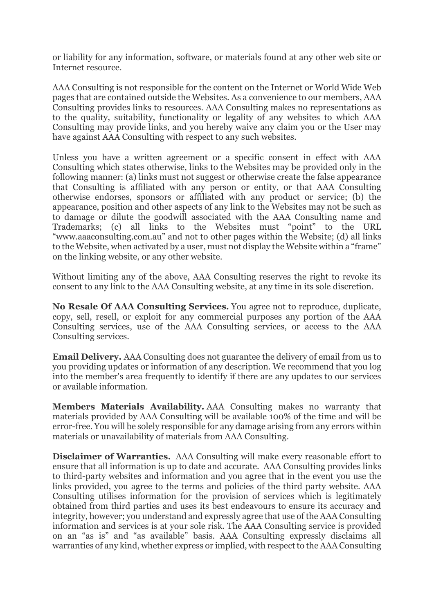or liability for any information, software, or materials found at any other web site or Internet resource.

AAA Consulting is not responsible for the content on the Internet or World Wide Web pages that are contained outside the Websites. As a convenience to our members, AAA Consulting provides links to resources. AAA Consulting makes no representations as to the quality, suitability, functionality or legality of any websites to which AAA Consulting may provide links, and you hereby waive any claim you or the User may have against AAA Consulting with respect to any such websites.

Unless you have a written agreement or a specific consent in effect with AAA Consulting which states otherwise, links to the Websites may be provided only in the following manner: (a) links must not suggest or otherwise create the false appearance that Consulting is affiliated with any person or entity, or that AAA Consulting otherwise endorses, sponsors or affiliated with any product or service; (b) the appearance, position and other aspects of any link to the Websites may not be such as to damage or dilute the goodwill associated with the AAA Consulting name and Trademarks; (c) all links to the Websites must "point" to the URL "www.aaaconsulting.com.au" and not to other pages within the Website; (d) all links to the Website, when activated by a user, must not display the Website within a "frame" on the linking website, or any other website.

Without limiting any of the above, AAA Consulting reserves the right to revoke its consent to any link to the AAA Consulting website, at any time in its sole discretion.

**No Resale Of AAA Consulting Services.** You agree not to reproduce, duplicate, copy, sell, resell, or exploit for any commercial purposes any portion of the AAA Consulting services, use of the AAA Consulting services, or access to the AAA Consulting services.

**Email Delivery.** AAA Consulting does not guarantee the delivery of email from us to you providing updates or information of any description. We recommend that you log into the member's area frequently to identify if there are any updates to our services or available information.

**Members Materials Availability.** AAA Consulting makes no warranty that materials provided by AAA Consulting will be available 100% of the time and will be error-free. You will be solely responsible for any damage arising from any errors within materials or unavailability of materials from AAA Consulting.

**Disclaimer of Warranties.** AAA Consulting will make every reasonable effort to ensure that all information is up to date and accurate. AAA Consulting provides links to third-party websites and information and you agree that in the event you use the links provided, you agree to the terms and policies of the third party website. AAA Consulting utilises information for the provision of services which is legitimately obtained from third parties and uses its best endeavours to ensure its accuracy and integrity, however; you understand and expressly agree that use of the AAA Consulting information and services is at your sole risk. The AAA Consulting service is provided on an "as is" and "as available" basis. AAA Consulting expressly disclaims all warranties of any kind, whether express or implied, with respect to the AAA Consulting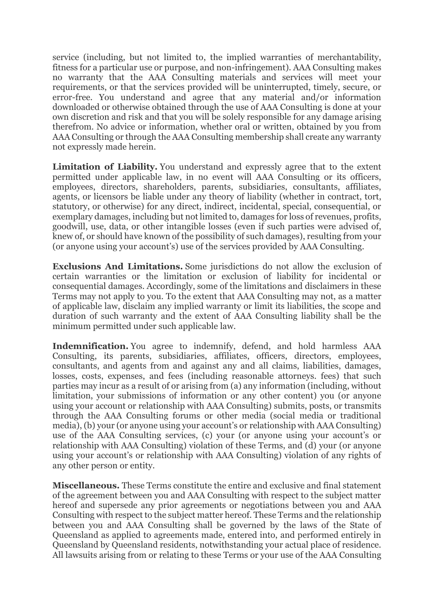service (including, but not limited to, the implied warranties of merchantability, fitness for a particular use or purpose, and non-infringement). AAA Consulting makes no warranty that the AAA Consulting materials and services will meet your requirements, or that the services provided will be uninterrupted, timely, secure, or error-free. You understand and agree that any material and/or information downloaded or otherwise obtained through the use of AAA Consulting is done at your own discretion and risk and that you will be solely responsible for any damage arising therefrom. No advice or information, whether oral or written, obtained by you from AAA Consulting or through the AAA Consulting membership shall create any warranty not expressly made herein.

**Limitation of Liability.** You understand and expressly agree that to the extent permitted under applicable law, in no event will AAA Consulting or its officers, employees, directors, shareholders, parents, subsidiaries, consultants, affiliates, agents, or licensors be liable under any theory of liability (whether in contract, tort, statutory, or otherwise) for any direct, indirect, incidental, special, consequential, or exemplary damages, including but not limited to, damages for loss of revenues, profits, goodwill, use, data, or other intangible losses (even if such parties were advised of, knew of, or should have known of the possibility of such damages), resulting from your (or anyone using your account's) use of the services provided by AAA Consulting.

**Exclusions And Limitations.** Some jurisdictions do not allow the exclusion of certain warranties or the limitation or exclusion of liability for incidental or consequential damages. Accordingly, some of the limitations and disclaimers in these Terms may not apply to you. To the extent that AAA Consulting may not, as a matter of applicable law, disclaim any implied warranty or limit its liabilities, the scope and duration of such warranty and the extent of AAA Consulting liability shall be the minimum permitted under such applicable law.

**Indemnification.** You agree to indemnify, defend, and hold harmless AAA Consulting, its parents, subsidiaries, affiliates, officers, directors, employees, consultants, and agents from and against any and all claims, liabilities, damages, losses, costs, expenses, and fees (including reasonable attorneys. fees) that such parties may incur as a result of or arising from (a) any information (including, without limitation, your submissions of information or any other content) you (or anyone using your account or relationship with AAA Consulting) submits, posts, or transmits through the AAA Consulting forums or other media (social media or traditional media), (b) your (or anyone using your account's or relationship with AAA Consulting) use of the AAA Consulting services, (c) your (or anyone using your account's or relationship with AAA Consulting) violation of these Terms, and (d) your (or anyone using your account's or relationship with AAA Consulting) violation of any rights of any other person or entity.

**Miscellaneous.** These Terms constitute the entire and exclusive and final statement of the agreement between you and AAA Consulting with respect to the subject matter hereof and supersede any prior agreements or negotiations between you and AAA Consulting with respect to the subject matter hereof. These Terms and the relationship between you and AAA Consulting shall be governed by the laws of the State of Queensland as applied to agreements made, entered into, and performed entirely in Queensland by Queensland residents, notwithstanding your actual place of residence. All lawsuits arising from or relating to these Terms or your use of the AAA Consulting